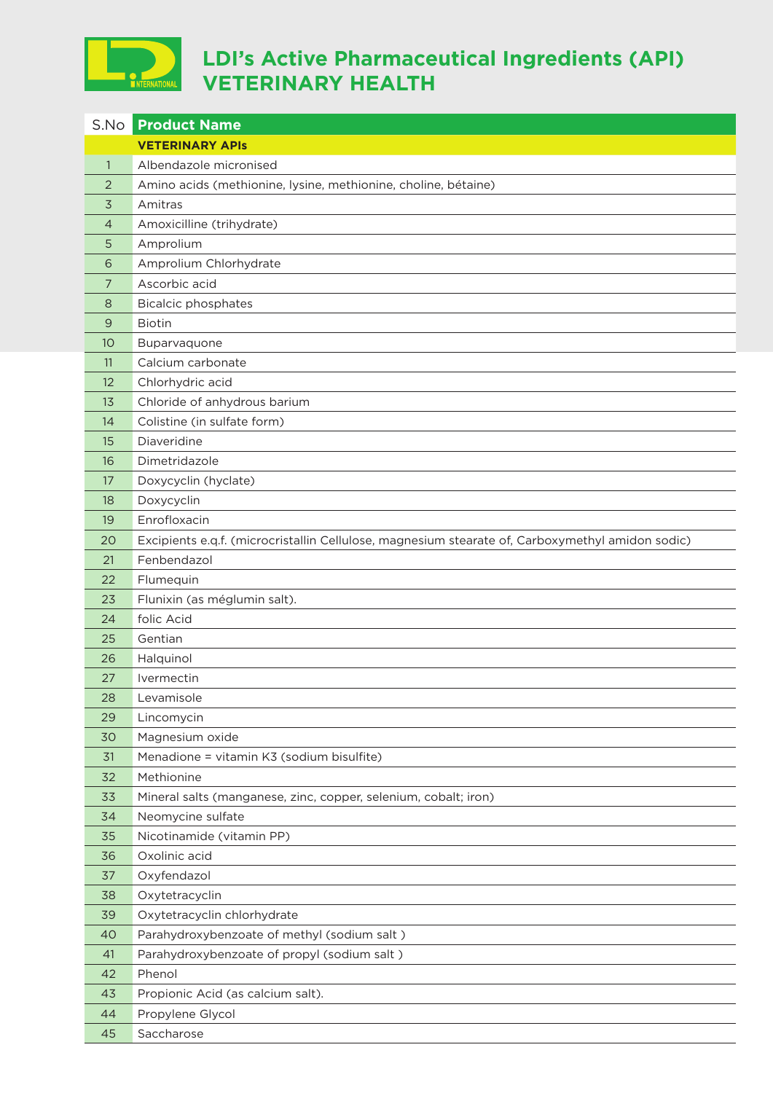

## **LDI's Active Pharmaceutical Ingredients (API) VETERINARY HEALTH**

| S.No           | <b>Product Name</b>                                                                              |
|----------------|--------------------------------------------------------------------------------------------------|
|                | <b>VETERINARY APIS</b>                                                                           |
| $\mathbf{1}$   | Albendazole micronised                                                                           |
| $\overline{2}$ | Amino acids (methionine, lysine, methionine, choline, bétaine)                                   |
| 3              | Amitras                                                                                          |
| $\overline{4}$ | Amoxicilline (trihydrate)                                                                        |
| 5              | Amprolium                                                                                        |
| 6              | Amprolium Chlorhydrate                                                                           |
| 7              | Ascorbic acid                                                                                    |
| 8              | <b>Bicalcic phosphates</b>                                                                       |
| 9              | <b>Biotin</b>                                                                                    |
| 10             | Buparvaquone                                                                                     |
| 11             | Calcium carbonate                                                                                |
| 12             | Chlorhydric acid                                                                                 |
| 13             | Chloride of anhydrous barium                                                                     |
| 14             | Colistine (in sulfate form)                                                                      |
| 15             | Diaveridine                                                                                      |
| 16             | Dimetridazole                                                                                    |
| 17             | Doxycyclin (hyclate)                                                                             |
| 18             | Doxycyclin                                                                                       |
| 19             | Enrofloxacin                                                                                     |
| 20             | Excipients e.q.f. (microcristallin Cellulose, magnesium stearate of, Carboxymethyl amidon sodic) |
| 21             | Fenbendazol                                                                                      |
| 22             | Flumequin                                                                                        |
| 23             | Flunixin (as méglumin salt).                                                                     |
| 24             | folic Acid                                                                                       |
| 25             | Gentian                                                                                          |
| 26             | Halquinol                                                                                        |
| 27             | Ivermectin                                                                                       |
| 28             | Levamisole                                                                                       |
| 29             | Lincomycin                                                                                       |
| 30             | Magnesium oxide                                                                                  |
| 31             | Menadione = vitamin K3 (sodium bisulfite)                                                        |
| 32             | Methionine                                                                                       |
| 33             | Mineral salts (manganese, zinc, copper, selenium, cobalt; iron)                                  |
| 34             | Neomycine sulfate                                                                                |
| 35             | Nicotinamide (vitamin PP)                                                                        |
| 36             | Oxolinic acid                                                                                    |
| 37             | Oxyfendazol                                                                                      |
| 38             | Oxytetracyclin                                                                                   |
| 39             | Oxytetracyclin chlorhydrate                                                                      |
| 40             | Parahydroxybenzoate of methyl (sodium salt)                                                      |
| 41             | Parahydroxybenzoate of propyl (sodium salt)                                                      |
| 42             | Phenol                                                                                           |
| 43             | Propionic Acid (as calcium salt).                                                                |
| 44             | Propylene Glycol                                                                                 |
| 45             | Saccharose                                                                                       |